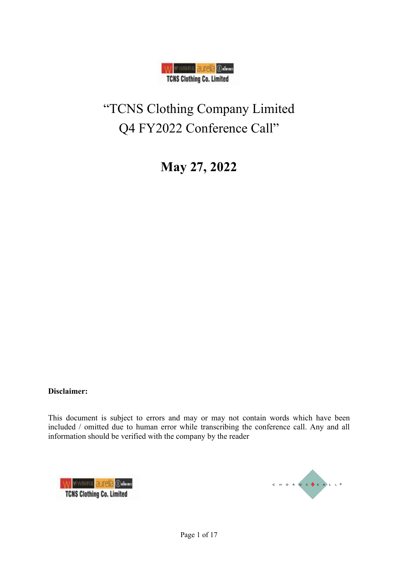

# "TCNS Clothing Company Limited Q4 FY2022 Conference Call"

May 27, 2022

Disclaimer:

This document is subject to errors and may or may not contain words which have been included / omitted due to human error while transcribing the conference call. Any and all information should be verified with the company by the reader



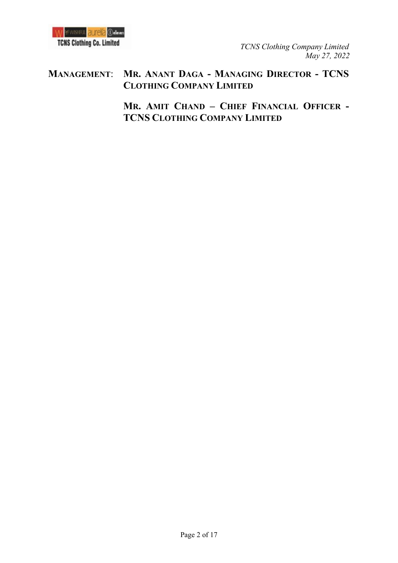

## MANAGEMENT: MR. ANANT DAGA - MANAGING DIRECTOR - TCNS CLOTHING COMPANY LIMITED

MR. AMIT CHAND – CHIEF FINANCIAL OFFICER - TCNS CLOTHING COMPANY LIMITED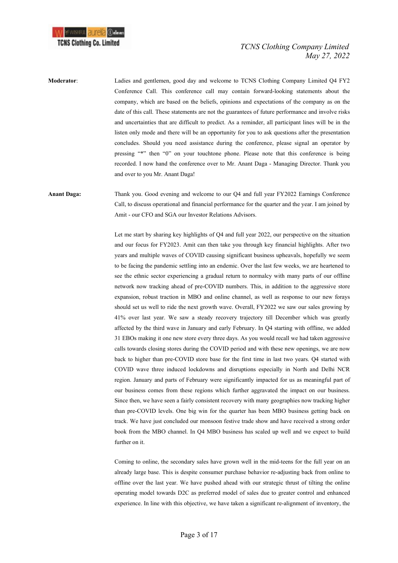

Moderator: Ladies and gentlemen, good day and welcome to TCNS Clothing Company Limited Q4 FY2 Conference Call. This conference call may contain forward-looking statements about the company, which are based on the beliefs, opinions and expectations of the company as on the date of this call. These statements are not the guarantees of future performance and involve risks and uncertainties that are difficult to predict. As a reminder, all participant lines will be in the listen only mode and there will be an opportunity for you to ask questions after the presentation concludes. Should you need assistance during the conference, please signal an operator by pressing "\*" then "0" on your touchtone phone. Please note that this conference is being recorded. I now hand the conference over to Mr. Anant Daga - Managing Director. Thank you and over to you Mr. Anant Daga!

Anant Daga: Thank you. Good evening and welcome to our Q4 and full year FY2022 Earnings Conference Call, to discuss operational and financial performance for the quarter and the year. I am joined by Amit - our CFO and SGA our Investor Relations Advisors.

> Let me start by sharing key highlights of Q4 and full year 2022, our perspective on the situation and our focus for FY2023. Amit can then take you through key financial highlights. After two years and multiple waves of COVID causing significant business upheavals, hopefully we seem to be facing the pandemic settling into an endemic. Over the last few weeks, we are heartened to see the ethnic sector experiencing a gradual return to normalcy with many parts of our offline network now tracking ahead of pre-COVID numbers. This, in addition to the aggressive store expansion, robust traction in MBO and online channel, as well as response to our new forays should set us well to ride the next growth wave. Overall, FY2022 we saw our sales growing by 41% over last year. We saw a steady recovery trajectory till December which was greatly affected by the third wave in January and early February. In Q4 starting with offline, we added 31 EBOs making it one new store every three days. As you would recall we had taken aggressive calls towards closing stores during the COVID period and with these new openings, we are now back to higher than pre-COVID store base for the first time in last two years. Q4 started with COVID wave three induced lockdowns and disruptions especially in North and Delhi NCR region. January and parts of February were significantly impacted for us as meaningful part of our business comes from these regions which further aggravated the impact on our business. Since then, we have seen a fairly consistent recovery with many geographies now tracking higher than pre-COVID levels. One big win for the quarter has been MBO business getting back on track. We have just concluded our monsoon festive trade show and have received a strong order book from the MBO channel. In Q4 MBO business has scaled up well and we expect to build further on it.

> Coming to online, the secondary sales have grown well in the mid-teens for the full year on an already large base. This is despite consumer purchase behavior re-adjusting back from online to offline over the last year. We have pushed ahead with our strategic thrust of tilting the online operating model towards D2C as preferred model of sales due to greater control and enhanced experience. In line with this objective, we have taken a significant re-alignment of inventory, the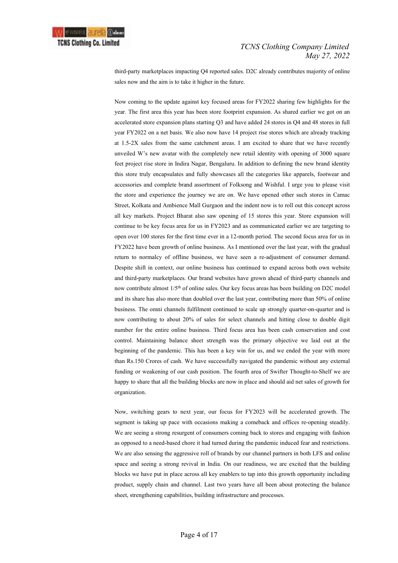

third-party marketplaces impacting Q4 reported sales. D2C already contributes majority of online sales now and the aim is to take it higher in the future.

 Now coming to the update against key focused areas for FY2022 sharing few highlights for the year. The first area this year has been store footprint expansion. As shared earlier we got on an accelerated store expansion plans starting Q3 and have added 24 stores in Q4 and 48 stores in full year FY2022 on a net basis. We also now have 14 project rise stores which are already tracking at 1.5-2X sales from the same catchment areas. I am excited to share that we have recently unveiled W's new avatar with the completely new retail identity with opening of 3000 square feet project rise store in Indira Nagar, Bengaluru. In addition to defining the new brand identity this store truly encapsulates and fully showcases all the categories like apparels, footwear and accessories and complete brand assortment of Folksong and Wishful. I urge you to please visit the store and experience the journey we are on. We have opened other such stores in Camac Street, Kolkata and Ambience Mall Gurgaon and the indent now is to roll out this concept across all key markets. Project Bharat also saw opening of 15 stores this year. Store expansion will continue to be key focus area for us in FY2023 and as communicated earlier we are targeting to open over 100 stores for the first time ever in a 12-month period. The second focus area for us in FY2022 have been growth of online business. As I mentioned over the last year, with the gradual return to normalcy of offline business, we have seen a re-adjustment of consumer demand. Despite shift in context, our online business has continued to expand across both own website and third-party marketplaces. Our brand websites have grown ahead of third-party channels and now contribute almost  $1/5<sup>th</sup>$  of online sales. Our key focus areas has been building on D2C model and its share has also more than doubled over the last year, contributing more than 50% of online business. The omni channels fulfilment continued to scale up strongly quarter-on-quarter and is now contributing to about 20% of sales for select channels and hitting close to double digit number for the entire online business. Third focus area has been cash conservation and cost control. Maintaining balance sheet strength was the primary objective we laid out at the beginning of the pandemic. This has been a key win for us, and we ended the year with more than Rs.150 Crores of cash. We have successfully navigated the pandemic without any external funding or weakening of our cash position. The fourth area of Swifter Thought-to-Shelf we are happy to share that all the building blocks are now in place and should aid net sales of growth for organization.

 Now, switching gears to next year, our focus for FY2023 will be accelerated growth. The segment is taking up pace with occasions making a comeback and offices re-opening steadily. We are seeing a strong resurgent of consumers coming back to stores and engaging with fashion as opposed to a need-based chore it had turned during the pandemic induced fear and restrictions. We are also sensing the aggressive roll of brands by our channel partners in both LFS and online space and seeing a strong revival in India. On our readiness, we are excited that the building blocks we have put in place across all key enablers to tap into this growth opportunity including product, supply chain and channel. Last two years have all been about protecting the balance sheet, strengthening capabilities, building infrastructure and processes.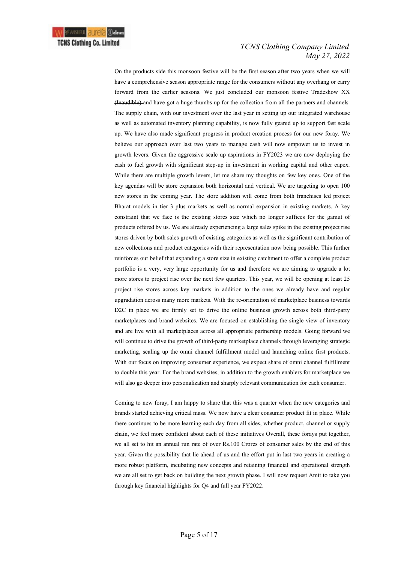

 On the products side this monsoon festive will be the first season after two years when we will have a comprehensive season appropriate range for the consumers without any overhang or carry forward from the earlier seasons. We just concluded our monsoon festive Tradeshow XX (Inaudible) and have got a huge thumbs up for the collection from all the partners and channels. The supply chain, with our investment over the last year in setting up our integrated warehouse as well as automated inventory planning capability, is now fully geared up to support fast scale up. We have also made significant progress in product creation process for our new foray. We believe our approach over last two years to manage cash will now empower us to invest in growth levers. Given the aggressive scale up aspirations in FY2023 we are now deploying the cash to fuel growth with significant step-up in investment in working capital and other capex. While there are multiple growth levers, let me share my thoughts on few key ones. One of the key agendas will be store expansion both horizontal and vertical. We are targeting to open 100 new stores in the coming year. The store addition will come from both franchises led project Bharat models in tier 3 plus markets as well as normal expansion in existing markets. A key constraint that we face is the existing stores size which no longer suffices for the gamut of products offered by us. We are already experiencing a large sales spike in the existing project rise stores driven by both sales growth of existing categories as well as the significant contribution of new collections and product categories with their representation now being possible. This further reinforces our belief that expanding a store size in existing catchment to offer a complete product portfolio is a very, very large opportunity for us and therefore we are aiming to upgrade a lot more stores to project rise over the next few quarters. This year, we will be opening at least 25 project rise stores across key markets in addition to the ones we already have and regular upgradation across many more markets. With the re-orientation of marketplace business towards D2C in place we are firmly set to drive the online business growth across both third-party marketplaces and brand websites. We are focused on establishing the single view of inventory and are live with all marketplaces across all appropriate partnership models. Going forward we will continue to drive the growth of third-party marketplace channels through leveraging strategic marketing, scaling up the omni channel fulfillment model and launching online first products. With our focus on improving consumer experience, we expect share of omni channel fulfillment to double this year. For the brand websites, in addition to the growth enablers for marketplace we will also go deeper into personalization and sharply relevant communication for each consumer.

 Coming to new foray, I am happy to share that this was a quarter when the new categories and brands started achieving critical mass. We now have a clear consumer product fit in place. While there continues to be more learning each day from all sides, whether product, channel or supply chain, we feel more confident about each of these initiatives Overall, these forays put together, we all set to hit an annual run rate of over Rs.100 Crores of consumer sales by the end of this year. Given the possibility that lie ahead of us and the effort put in last two years in creating a more robust platform, incubating new concepts and retaining financial and operational strength we are all set to get back on building the next growth phase. I will now request Amit to take you through key financial highlights for Q4 and full year FY2022.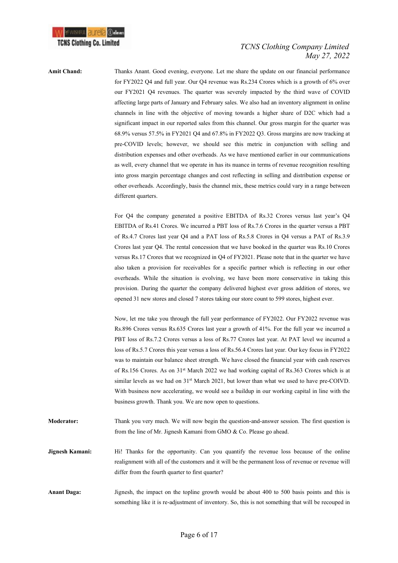

Amit Chand: Thanks Anant. Good evening, everyone. Let me share the update on our financial performance for FY2022 Q4 and full year. Our Q4 revenue was Rs.234 Crores which is a growth of 6% over our FY2021 Q4 revenues. The quarter was severely impacted by the third wave of COVID affecting large parts of January and February sales. We also had an inventory alignment in online channels in line with the objective of moving towards a higher share of D2C which had a significant impact in our reported sales from this channel. Our gross margin for the quarter was 68.9% versus 57.5% in FY2021 Q4 and 67.8% in FY2022 Q3. Gross margins are now tracking at pre-COVID levels; however, we should see this metric in conjunction with selling and distribution expenses and other overheads. As we have mentioned earlier in our communications as well, every channel that we operate in has its nuance in terms of revenue recognition resulting into gross margin percentage changes and cost reflecting in selling and distribution expense or other overheads. Accordingly, basis the channel mix, these metrics could vary in a range between different quarters.

> For Q4 the company generated a positive EBITDA of Rs.32 Crores versus last year's Q4 EBITDA of Rs.41 Crores. We incurred a PBT loss of Rs.7.6 Crores in the quarter versus a PBT of Rs.4.7 Crores last year Q4 and a PAT loss of Rs.5.8 Crores in Q4 versus a PAT of Rs.3.9 Crores last year Q4. The rental concession that we have booked in the quarter was Rs.10 Crores versus Rs.17 Crores that we recognized in Q4 of FY2021. Please note that in the quarter we have also taken a provision for receivables for a specific partner which is reflecting in our other overheads. While the situation is evolving, we have been more conservative in taking this provision. During the quarter the company delivered highest ever gross addition of stores, we opened 31 new stores and closed 7 stores taking our store count to 599 stores, highest ever.

> Now, let me take you through the full year performance of FY2022. Our FY2022 revenue was Rs.896 Crores versus Rs.635 Crores last year a growth of 41%. For the full year we incurred a PBT loss of Rs.7.2 Crores versus a loss of Rs.77 Crores last year. At PAT level we incurred a loss of Rs.5.7 Crores this year versus a loss of Rs.56.4 Crores last year. Our key focus in FY2022 was to maintain our balance sheet strength. We have closed the financial year with cash reserves of Rs.156 Crores. As on 31<sup>st</sup> March 2022 we had working capital of Rs.363 Crores which is at similar levels as we had on 31<sup>st</sup> March 2021, but lower than what we used to have pre-COIVD. With business now accelerating, we would see a buildup in our working capital in line with the business growth. Thank you. We are now open to questions.

Moderator: Thank you very much. We will now begin the question-and-answer session. The first question is from the line of Mr. Jignesh Kamani from GMO & Co. Please go ahead.

Jignesh Kamani: Hi! Thanks for the opportunity. Can you quantify the revenue loss because of the online realignment with all of the customers and it will be the permanent loss of revenue or revenue will differ from the fourth quarter to first quarter?

Anant Daga: Jignesh, the impact on the topline growth would be about 400 to 500 basis points and this is something like it is re-adjustment of inventory. So, this is not something that will be recouped in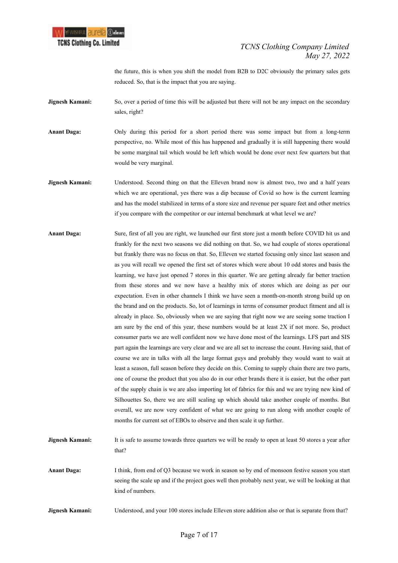

the future, this is when you shift the model from B2B to D2C obviously the primary sales gets reduced. So, that is the impact that you are saying.

**Jignesh Kamani:** So, over a period of time this will be adjusted but there will not be any impact on the secondary sales, right?

Anant Daga: Only during this period for a short period there was some impact but from a long-term perspective, no. While most of this has happened and gradually it is still happening there would be some marginal tail which would be left which would be done over next few quarters but that would be very marginal.

- Jignesh Kamani: Understood. Second thing on that the Elleven brand now is almost two, two and a half years which we are operational, yes there was a dip because of Covid so how is the current learning and has the model stabilized in terms of a store size and revenue per square feet and other metrics if you compare with the competitor or our internal benchmark at what level we are?
- Anant Daga: Sure, first of all you are right, we launched our first store just a month before COVID hit us and frankly for the next two seasons we did nothing on that. So, we had couple of stores operational but frankly there was no focus on that. So, Elleven we started focusing only since last season and as you will recall we opened the first set of stores which were about 10 odd stores and basis the learning, we have just opened 7 stores in this quarter. We are getting already far better traction from these stores and we now have a healthy mix of stores which are doing as per our expectation. Even in other channels I think we have seen a month-on-month strong build up on the brand and on the products. So, lot of learnings in terms of consumer product fitment and all is already in place. So, obviously when we are saying that right now we are seeing some traction I am sure by the end of this year, these numbers would be at least  $2X$  if not more. So, product consumer parts we are well confident now we have done most of the learnings. LFS part and SIS part again the learnings are very clear and we are all set to increase the count. Having said, that of course we are in talks with all the large format guys and probably they would want to wait at least a season, full season before they decide on this. Coming to supply chain there are two parts, one of course the product that you also do in our other brands there it is easier, but the other part of the supply chain is we are also importing lot of fabrics for this and we are trying new kind of Silhouettes So, there we are still scaling up which should take another couple of months. But overall, we are now very confident of what we are going to run along with another couple of months for current set of EBOs to observe and then scale it up further.
- **Jignesh Kamani:** It is safe to assume towards three quarters we will be ready to open at least 50 stores a year after that?
- Anant Daga: I think, from end of Q3 because we work in season so by end of monsoon festive season you start seeing the scale up and if the project goes well then probably next year, we will be looking at that kind of numbers.

Jignesh Kamani: Understood, and your 100 stores include Elleven store addition also or that is separate from that?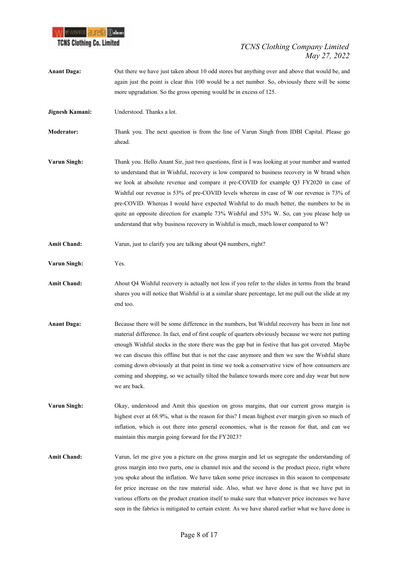

- Anant Daga: Out there we have just taken about 10 odd stores but anything over and above that would be, and again just the point is clear this 100 would be a net number. So, obviously there will be some more upgradation. So the gross opening would be in excess of 125.
- Jignesh Kamani: Understood. Thanks a lot.
- Moderator: Thank you. The next question is from the line of Varun Singh from IDBI Capital. Please go ahead.
- Varun Singh: Thank you. Hello Anant Sir, just two questions, first is I was looking at your number and wanted to understand that in Wishful, recovery is low compared to business recovery in W brand when we look at absolute revenue and compare it pre-COVID for example Q3 FY2020 in case of Wishful our revenue is 53% of pre-COVID levels whereas in case of W our revenue is 73% of pre-COVID. Whereas I would have expected Wishful to do much better, the numbers to be in quite an opposite direction for example 73% Wishful and 53% W. So, can you please help us understand that why business recovery in Wishful is much, much lower compared to W?
- Amit Chand: Varun, just to clarify you are talking about Q4 numbers, right?
- Varun Singh: Yes.
- Amit Chand: About Q4 Wishful recovery is actually not less if you refer to the slides in terms from the brand shares you will notice that Wishful is at a similar share percentage, let me pull out the slide at my end too.
- Anant Daga: Because there will be some difference in the numbers, but Wishful recovery has been in line not material difference. In fact, end of first couple of quarters obviously because we were not putting enough Wishful stocks in the store there was the gap but in festive that has got covered. Maybe we can discuss this offline but that is not the case anymore and then we saw the Wishful share coming down obviously at that point in time we took a conservative view of how consumers are coming and shopping, so we actually tilted the balance towards more core and day wear but now we are back.
- Varun Singh: Okay, understood and Amit this question on gross margins, that our current gross margin is highest ever at 68.9%, what is the reason for this? I mean highest ever margin given so much of inflation, which is out there into general economies, what is the reason for that, and can we maintain this margin going forward for the FY2023?
- Amit Chand: Varun, let me give you a picture on the gross margin and let us segregate the understanding of gross margin into two parts, one is channel mix and the second is the product piece, right where you spoke about the inflation. We have taken some price increases in this season to compensate for price increase on the raw material side. Also, what we have done is that we have put in various efforts on the product creation itself to make sure that whatever price increases we have seen in the fabrics is mitigated to certain extent. As we have shared earlier what we have done is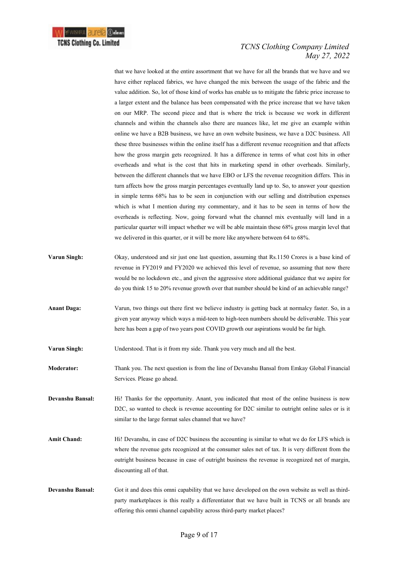

that we have looked at the entire assortment that we have for all the brands that we have and we have either replaced fabrics, we have changed the mix between the usage of the fabric and the value addition. So, lot of those kind of works has enable us to mitigate the fabric price increase to a larger extent and the balance has been compensated with the price increase that we have taken on our MRP. The second piece and that is where the trick is because we work in different channels and within the channels also there are nuances like, let me give an example within online we have a B2B business, we have an own website business, we have a D2C business. All these three businesses within the online itself has a different revenue recognition and that affects how the gross margin gets recognized. It has a difference in terms of what cost hits in other overheads and what is the cost that hits in marketing spend in other overheads. Similarly, between the different channels that we have EBO or LFS the revenue recognition differs. This in turn affects how the gross margin percentages eventually land up to. So, to answer your question in simple terms 68% has to be seen in conjunction with our selling and distribution expenses which is what I mention during my commentary, and it has to be seen in terms of how the overheads is reflecting. Now, going forward what the channel mix eventually will land in a particular quarter will impact whether we will be able maintain these 68% gross margin level that we delivered in this quarter, or it will be more like anywhere between 64 to 68%.

- Varun Singh: Okay, understood and sir just one last question, assuming that Rs.1150 Crores is a base kind of revenue in FY2019 and FY2020 we achieved this level of revenue, so assuming that now there would be no lockdown etc., and given the aggressive store additional guidance that we aspire for do you think 15 to 20% revenue growth over that number should be kind of an achievable range?
- Anant Daga: Varun, two things out there first we believe industry is getting back at normalcy faster. So, in a given year anyway which ways a mid-teen to high-teen numbers should be deliverable. This year here has been a gap of two years post COVID growth our aspirations would be far high.

Varun Singh: Understood. That is it from my side. Thank you very much and all the best.

Moderator: Thank you. The next question is from the line of Devanshu Bansal from Emkay Global Financial Services. Please go ahead.

Devanshu Bansal: Hi! Thanks for the opportunity. Anant, you indicated that most of the online business is now D2C, so wanted to check is revenue accounting for D2C similar to outright online sales or is it similar to the large format sales channel that we have?

- Amit Chand: Hi! Devanshu, in case of D2C business the accounting is similar to what we do for LFS which is where the revenue gets recognized at the consumer sales net of tax. It is very different from the outright business because in case of outright business the revenue is recognized net of margin, discounting all of that.
- Devanshu Bansal: Got it and does this omni capability that we have developed on the own website as well as thirdparty marketplaces is this really a differentiator that we have built in TCNS or all brands are offering this omni channel capability across third-party market places?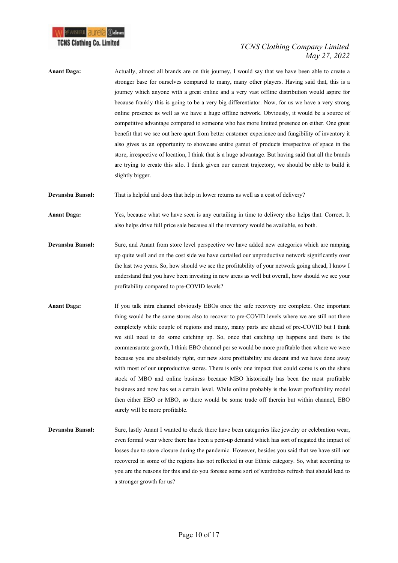

Anant Daga: Actually, almost all brands are on this journey, I would say that we have been able to create a stronger base for ourselves compared to many, many other players. Having said that, this is a journey which anyone with a great online and a very vast offline distribution would aspire for because frankly this is going to be a very big differentiator. Now, for us we have a very strong online presence as well as we have a huge offline network. Obviously, it would be a source of competitive advantage compared to someone who has more limited presence on either. One great benefit that we see out here apart from better customer experience and fungibility of inventory it also gives us an opportunity to showcase entire gamut of products irrespective of space in the store, irrespective of location, I think that is a huge advantage. But having said that all the brands are trying to create this silo. I think given our current trajectory, we should be able to build it slightly bigger.

Devanshu Bansal: That is helpful and does that help in lower returns as well as a cost of delivery?

Anant Daga: Yes, because what we have seen is any curtailing in time to delivery also helps that. Correct. It also helps drive full price sale because all the inventory would be available, so both.

- Devanshu Bansal: Sure, and Anant from store level perspective we have added new categories which are ramping up quite well and on the cost side we have curtailed our unproductive network significantly over the last two years. So, how should we see the profitability of your network going ahead, I know I understand that you have been investing in new areas as well but overall, how should we see your profitability compared to pre-COVID levels?
- Anant Daga: If you talk intra channel obviously EBOs once the safe recovery are complete. One important thing would be the same stores also to recover to pre-COVID levels where we are still not there completely while couple of regions and many, many parts are ahead of pre-COVID but I think we still need to do some catching up. So, once that catching up happens and there is the commensurate growth, I think EBO channel per se would be more profitable then where we were because you are absolutely right, our new store profitability are decent and we have done away with most of our unproductive stores. There is only one impact that could come is on the share stock of MBO and online business because MBO historically has been the most profitable business and now has set a certain level. While online probably is the lower profitability model then either EBO or MBO, so there would be some trade off therein but within channel, EBO surely will be more profitable.
- Devanshu Bansal: Sure, lastly Anant I wanted to check there have been categories like jewelry or celebration wear, even formal wear where there has been a pent-up demand which has sort of negated the impact of losses due to store closure during the pandemic. However, besides you said that we have still not recovered in some of the regions has not reflected in our Ethnic category. So, what according to you are the reasons for this and do you foresee some sort of wardrobes refresh that should lead to a stronger growth for us?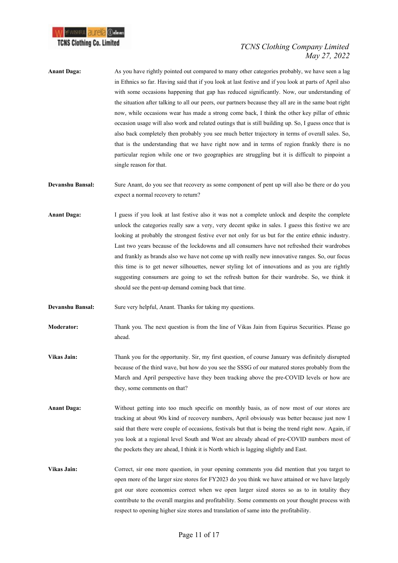

- Anant Daga: As you have rightly pointed out compared to many other categories probably, we have seen a lag in Ethnics so far. Having said that if you look at last festive and if you look at parts of April also with some occasions happening that gap has reduced significantly. Now, our understanding of the situation after talking to all our peers, our partners because they all are in the same boat right now, while occasions wear has made a strong come back, I think the other key pillar of ethnic occasion usage will also work and related outings that is still building up. So, I guess once that is also back completely then probably you see much better trajectory in terms of overall sales. So, that is the understanding that we have right now and in terms of region frankly there is no particular region while one or two geographies are struggling but it is difficult to pinpoint a single reason for that.
- Devanshu Bansal: Sure Anant, do you see that recovery as some component of pent up will also be there or do you expect a normal recovery to return?
- Anant Daga: I guess if you look at last festive also it was not a complete unlock and despite the complete unlock the categories really saw a very, very decent spike in sales. I guess this festive we are looking at probably the strongest festive ever not only for us but for the entire ethnic industry. Last two years because of the lockdowns and all consumers have not refreshed their wardrobes and frankly as brands also we have not come up with really new innovative ranges. So, our focus this time is to get newer silhouettes, newer styling lot of innovations and as you are rightly suggesting consumers are going to set the refresh button for their wardrobe. So, we think it should see the pent-up demand coming back that time.
- Devanshu Bansal: Sure very helpful, Anant. Thanks for taking my questions.
- Moderator: Thank you. The next question is from the line of Vikas Jain from Equirus Securities. Please go ahead.
- Vikas Jain: Thank you for the opportunity. Sir, my first question, of course January was definitely disrupted because of the third wave, but how do you see the SSSG of our matured stores probably from the March and April perspective have they been tracking above the pre-COVID levels or how are they, some comments on that?
- Anant Daga: Without getting into too much specific on monthly basis, as of now most of our stores are tracking at about 90s kind of recovery numbers, April obviously was better because just now I said that there were couple of occasions, festivals but that is being the trend right now. Again, if you look at a regional level South and West are already ahead of pre-COVID numbers most of the pockets they are ahead, I think it is North which is lagging slightly and East.
- Vikas Jain: Correct, sir one more question, in your opening comments you did mention that you target to open more of the larger size stores for FY2023 do you think we have attained or we have largely got our store economics correct when we open larger sized stores so as to in totality they contribute to the overall margins and profitability. Some comments on your thought process with respect to opening higher size stores and translation of same into the profitability.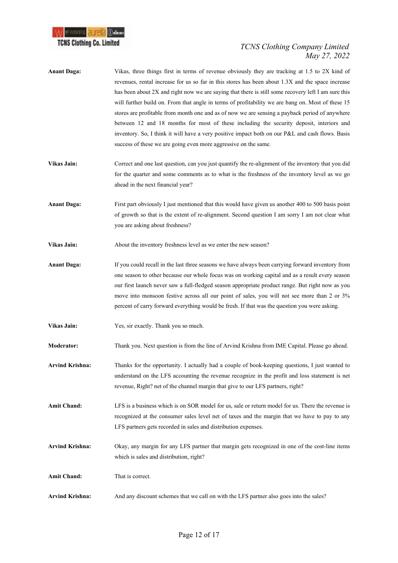

- Anant Daga: Vikas, three things first in terms of revenue obviously they are tracking at 1.5 to 2X kind of revenues, rental increase for us so far in this stores has been about 1.3X and the space increase has been about 2X and right now we are saying that there is still some recovery left I am sure this will further build on. From that angle in terms of profitability we are bang on. Most of these 15 stores are profitable from month one and as of now we are sensing a payback period of anywhere between 12 and 18 months for most of these including the security deposit, interiors and inventory. So, I think it will have a very positive impact both on our P&L and cash flows. Basis success of these we are going even more aggressive on the same.
- Vikas Jain: Correct and one last question, can you just quantify the re-alignment of the inventory that you did for the quarter and some comments as to what is the freshness of the inventory level as we go ahead in the next financial year?
- Anant Daga: First part obviously I just mentioned that this would have given us another 400 to 500 basis point of growth so that is the extent of re-alignment. Second question I am sorry I am not clear what you are asking about freshness?
- Vikas Jain: About the inventory freshness level as we enter the new season?
- Anant Daga: If you could recall in the last three seasons we have always been carrying forward inventory from one season to other because our whole focus was on working capital and as a result every season our first launch never saw a full-fledged season appropriate product range. But right now as you move into monsoon festive across all our point of sales, you will not see more than 2 or 3% percent of carry forward everything would be fresh. If that was the question you were asking.
- Vikas Jain: Yes, sir exactly. Thank you so much.

Moderator: Thank you. Next question is from the line of Arvind Krishna from IME Capital. Please go ahead.

- Arvind Krishna: Thanks for the opportunity. I actually had a couple of book-keeping questions, I just wanted to understand on the LFS accounting the revenue recognize in the profit and loss statement is net revenue, Right? net of the channel margin that give to our LFS partners, right?
- Amit Chand: LFS is a business which is on SOR model for us, sale or return model for us. There the revenue is recognized at the consumer sales level net of taxes and the margin that we have to pay to any LFS partners gets recorded in sales and distribution expenses.
- Arvind Krishna: Okay, any margin for any LFS partner that margin gets recognized in one of the cost-line items which is sales and distribution, right?

Amit Chand: That is correct.

Arvind Krishna: And any discount schemes that we call on with the LFS partner also goes into the sales?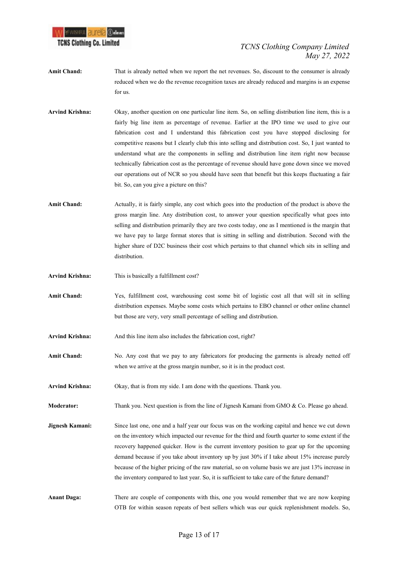

- Amit Chand: That is already netted when we report the net revenues. So, discount to the consumer is already reduced when we do the revenue recognition taxes are already reduced and margins is an expense for us.
- Arvind Krishna: Okay, another question on one particular line item. So, on selling distribution line item, this is a fairly big line item as percentage of revenue. Earlier at the IPO time we used to give our fabrication cost and I understand this fabrication cost you have stopped disclosing for competitive reasons but I clearly club this into selling and distribution cost. So, I just wanted to understand what are the components in selling and distribution line item right now because technically fabrication cost as the percentage of revenue should have gone down since we moved our operations out of NCR so you should have seen that benefit but this keeps fluctuating a fair bit. So, can you give a picture on this?
- Amit Chand: Actually, it is fairly simple, any cost which goes into the production of the product is above the gross margin line. Any distribution cost, to answer your question specifically what goes into selling and distribution primarily they are two costs today, one as I mentioned is the margin that we have pay to large format stores that is sitting in selling and distribution. Second with the higher share of D2C business their cost which pertains to that channel which sits in selling and distribution.
- Arvind Krishna: This is basically a fulfillment cost?
- Amit Chand: Yes, fulfillment cost, warehousing cost some bit of logistic cost all that will sit in selling distribution expenses. Maybe some costs which pertains to EBO channel or other online channel but those are very, very small percentage of selling and distribution.
- Arvind Krishna: And this line item also includes the fabrication cost, right?
- Amit Chand: No. Any cost that we pay to any fabricators for producing the garments is already netted off when we arrive at the gross margin number, so it is in the product cost.
- Arvind Krishna: Okay, that is from my side. I am done with the questions. Thank you.
- Moderator: Thank you. Next question is from the line of Jignesh Kamani from GMO & Co. Please go ahead.
- Jignesh Kamani: Since last one, one and a half year our focus was on the working capital and hence we cut down on the inventory which impacted our revenue for the third and fourth quarter to some extent if the recovery happened quicker. How is the current inventory position to gear up for the upcoming demand because if you take about inventory up by just 30% if I take about 15% increase purely because of the higher pricing of the raw material, so on volume basis we are just 13% increase in the inventory compared to last year. So, it is sufficient to take care of the future demand?
- Anant Daga: There are couple of components with this, one you would remember that we are now keeping OTB for within season repeats of best sellers which was our quick replenishment models. So,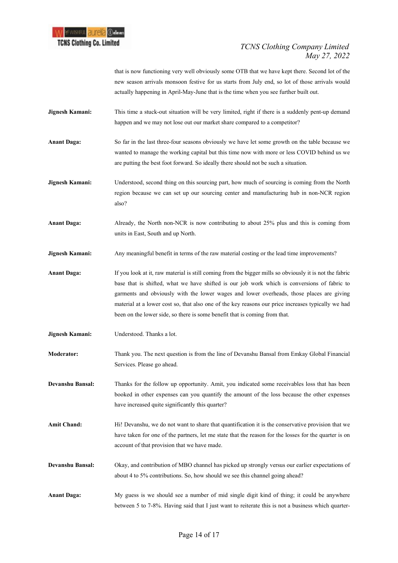

that is now functioning very well obviously some OTB that we have kept there. Second lot of the new season arrivals monsoon festive for us starts from July end, so lot of those arrivals would actually happening in April-May-June that is the time when you see further built out.

- Jignesh Kamani: This time a stuck-out situation will be very limited, right if there is a suddenly pent-up demand happen and we may not lose out our market share compared to a competitor?
- Anant Daga: So far in the last three-four seasons obviously we have let some growth on the table because we wanted to manage the working capital but this time now with more or less COVID behind us we are putting the best foot forward. So ideally there should not be such a situation.
- Jignesh Kamani: Understood, second thing on this sourcing part, how much of sourcing is coming from the North region because we can set up our sourcing center and manufacturing hub in non-NCR region also?
- Anant Daga: Already, the North non-NCR is now contributing to about 25% plus and this is coming from units in East, South and up North.
- **Jignesh Kamani:** Any meaningful benefit in terms of the raw material costing or the lead time improvements?
- Anant Daga: If you look at it, raw material is still coming from the bigger mills so obviously it is not the fabric base that is shifted, what we have shifted is our job work which is conversions of fabric to garments and obviously with the lower wages and lower overheads, those places are giving material at a lower cost so, that also one of the key reasons our price increases typically we had been on the lower side, so there is some benefit that is coming from that.
- Jignesh Kamani: Understood. Thanks a lot.
- Moderator: Thank you. The next question is from the line of Devanshu Bansal from Emkay Global Financial Services. Please go ahead.

Devanshu Bansal: Thanks for the follow up opportunity. Amit, you indicated some receivables loss that has been booked in other expenses can you quantify the amount of the loss because the other expenses have increased quite significantly this quarter?

- Amit Chand: Hi! Devanshu, we do not want to share that quantification it is the conservative provision that we have taken for one of the partners, let me state that the reason for the losses for the quarter is on account of that provision that we have made.
- Devanshu Bansal: Okay, and contribution of MBO channel has picked up strongly versus our earlier expectations of about 4 to 5% contributions. So, how should we see this channel going ahead?
- Anant Daga: My guess is we should see a number of mid single digit kind of thing; it could be anywhere between 5 to 7-8%. Having said that I just want to reiterate this is not a business which quarter-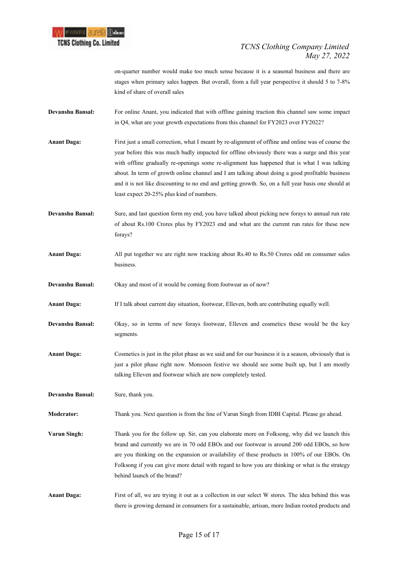

on-quarter number would make too much sense because it is a seasonal business and there are stages when primary sales happen. But overall, from a full year perspective it should 5 to 7-8% kind of share of overall sales

- Devanshu Bansal: For online Anant, you indicated that with offline gaining traction this channel saw some impact in Q4, what are your growth expectations from this channel for FY2023 over FY2022?
- Anant Daga: First just a small correction, what I meant by re-alignment of offline and online was of course the year before this was much badly impacted for offline obviously there was a surge and this year with offline gradually re-openings some re-alignment has happened that is what I was talking about. In term of growth online channel and I am talking about doing a good profitable business and it is not like discounting to no end and getting growth. So, on a full year basis one should at least expect 20-25% plus kind of numbers.

Devanshu Bansal: Sure, and last question form my end, you have talked about picking new forays to annual run rate of about Rs.100 Crores plus by FY2023 end and what are the current run rates for these new forays?

- Anant Daga: All put together we are right now tracking about Rs.40 to Rs.50 Crores odd on consumer sales business.
- Devanshu Bansal: Okay and most of it would be coming from footwear as of now?
- Anant Daga: If I talk about current day situation, footwear, Elleven, both are contributing equally well.
- Devanshu Bansal: Okay, so in terms of new forays footwear, Elleven and cosmetics these would be the key segments.
- Anant Daga: Cosmetics is just in the pilot phase as we said and for our business it is a season, obviously that is just a pilot phase right now. Monsoon festive we should see some built up, but I am mostly talking Elleven and footwear which are now completely tested.

Devanshu Bansal: Sure, thank you.

Moderator: Thank you. Next question is from the line of Varun Singh from IDBI Capital. Please go ahead.

- Varun Singh: Thank you for the follow up. Sir, can you elaborate more on Folksong, why did we launch this brand and currently we are in 70 odd EBOs and our footwear is around 200 odd EBOs, so how are you thinking on the expansion or availability of these products in 100% of our EBOs. On Folksong if you can give more detail with regard to how you are thinking or what is the strategy behind launch of the brand?
- Anant Daga: First of all, we are trying it out as a collection in our select W stores. The idea behind this was there is growing demand in consumers for a sustainable, artisan, more Indian rooted products and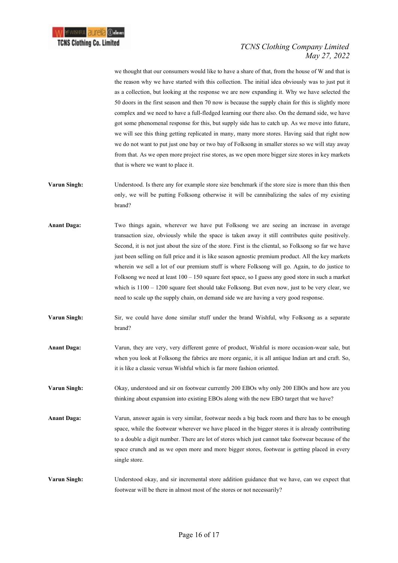

we thought that our consumers would like to have a share of that, from the house of W and that is the reason why we have started with this collection. The initial idea obviously was to just put it as a collection, but looking at the response we are now expanding it. Why we have selected the 50 doors in the first season and then 70 now is because the supply chain for this is slightly more complex and we need to have a full-fledged learning our there also. On the demand side, we have got some phenomenal response for this, but supply side has to catch up. As we move into future, we will see this thing getting replicated in many, many more stores. Having said that right now we do not want to put just one bay or two bay of Folksong in smaller stores so we will stay away from that. As we open more project rise stores, as we open more bigger size stores in key markets that is where we want to place it.

- Varun Singh: Understood. Is there any for example store size benchmark if the store size is more than this then only, we will be putting Folksong otherwise it will be cannibalizing the sales of my existing brand?
- Anant Daga: Two things again, wherever we have put Folksong we are seeing an increase in average transaction size, obviously while the space is taken away it still contributes quite positively. Second, it is not just about the size of the store. First is the cliental, so Folksong so far we have just been selling on full price and it is like season agnostic premium product. All the key markets wherein we sell a lot of our premium stuff is where Folksong will go. Again, to do justice to Folksong we need at least 100 – 150 square feet space, so I guess any good store in such a market which is  $1100 - 1200$  square feet should take Folksong. But even now, just to be very clear, we need to scale up the supply chain, on demand side we are having a very good response.
- Varun Singh: Sir, we could have done similar stuff under the brand Wishful, why Folksong as a separate brand?
- Anant Daga: Varun, they are very, very different genre of product, Wishful is more occasion-wear sale, but when you look at Folksong the fabrics are more organic, it is all antique Indian art and craft. So, it is like a classic versus Wishful which is far more fashion oriented.
- Varun Singh: Okay, understood and sir on footwear currently 200 EBOs why only 200 EBOs and how are you thinking about expansion into existing EBOs along with the new EBO target that we have?
- Anant Daga: Varun, answer again is very similar, footwear needs a big back room and there has to be enough space, while the footwear wherever we have placed in the bigger stores it is already contributing to a double a digit number. There are lot of stores which just cannot take footwear because of the space crunch and as we open more and more bigger stores, footwear is getting placed in every single store.
- Varun Singh: Understood okay, and sir incremental store addition guidance that we have, can we expect that footwear will be there in almost most of the stores or not necessarily?